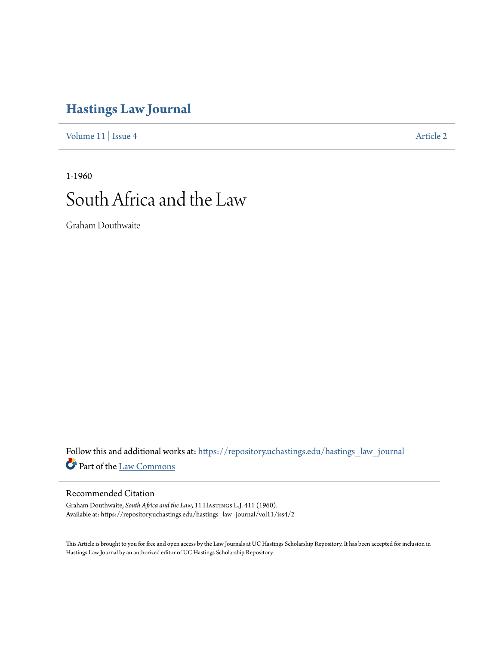# **[Hastings Law Journal](https://repository.uchastings.edu/hastings_law_journal?utm_source=repository.uchastings.edu%2Fhastings_law_journal%2Fvol11%2Fiss4%2F2&utm_medium=PDF&utm_campaign=PDFCoverPages)**

[Volume 11](https://repository.uchastings.edu/hastings_law_journal/vol11?utm_source=repository.uchastings.edu%2Fhastings_law_journal%2Fvol11%2Fiss4%2F2&utm_medium=PDF&utm_campaign=PDFCoverPages) | [Issue 4](https://repository.uchastings.edu/hastings_law_journal/vol11/iss4?utm_source=repository.uchastings.edu%2Fhastings_law_journal%2Fvol11%2Fiss4%2F2&utm_medium=PDF&utm_campaign=PDFCoverPages) [Article 2](https://repository.uchastings.edu/hastings_law_journal/vol11/iss4/2?utm_source=repository.uchastings.edu%2Fhastings_law_journal%2Fvol11%2Fiss4%2F2&utm_medium=PDF&utm_campaign=PDFCoverPages)

1-1960

# South Africa and the Law

Graham Douthwaite

Follow this and additional works at: [https://repository.uchastings.edu/hastings\\_law\\_journal](https://repository.uchastings.edu/hastings_law_journal?utm_source=repository.uchastings.edu%2Fhastings_law_journal%2Fvol11%2Fiss4%2F2&utm_medium=PDF&utm_campaign=PDFCoverPages) Part of the [Law Commons](http://network.bepress.com/hgg/discipline/578?utm_source=repository.uchastings.edu%2Fhastings_law_journal%2Fvol11%2Fiss4%2F2&utm_medium=PDF&utm_campaign=PDFCoverPages)

## Recommended Citation

Graham Douthwaite, *South Africa and the Law*, 11 HASTINGS L.J. 411 (1960). Available at: https://repository.uchastings.edu/hastings\_law\_journal/vol11/iss4/2

This Article is brought to you for free and open access by the Law Journals at UC Hastings Scholarship Repository. It has been accepted for inclusion in Hastings Law Journal by an authorized editor of UC Hastings Scholarship Repository.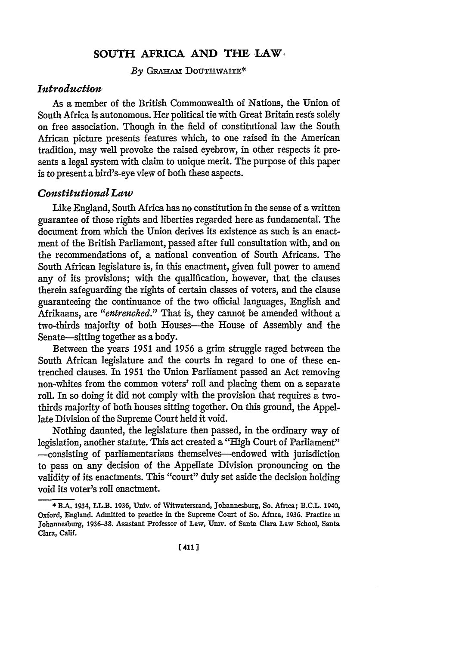### **SOUTH AFRICA AND THE LAW.**

By GRAHAM DOUTHWAITE\*

#### *Introduction*

As a member of the British Commonwealth of Nations, the Union of South Africa is autonomous. Her political tie with Great Britain rests solely on free association. Though in the field of constitutional law the South African picture presents features which, to one raised in the American tradition, may well provoke the raised eyebrow, in other respects it presents a legal system with claim to unique merit. The purpose of this paper is to present a bird's-eye view of both these aspects.

#### *Constitutional Law*

Like England, South Africa has no constitution in the sense **of** a written guarantee of those rights and liberties regarded here as fundamental. The document from which the Union derives its existence as such is an enactment of the British Parliament, passed after full consultation with, and on the recommendations of, a national convention of South Africans. The South African legislature is, in this enactment, given full power to amend any of its provisions; with the qualification, however, that the clauses therein safeguarding the rights of certain classes of voters, and the clause guaranteeing the continuance of the two official languages, English and Afrikaans, are *"entrenched."* That is, they cannot be amended without a two-thirds majority of both Houses-the House of Assembly and the Senate—sitting together as a body.

Between the years 1951 and 1956 a grim struggle raged between the South African legislature and the courts in regard to one of these entrenched clauses. In 1951 the Union Parliament passed an Act removing non-whites from the common voters' roll and placing them on a separate roll. In so doing it did not comply with the provision that requires a twothirds majority of both houses sitting together. On this ground, the Appellate Division of the Supreme Court held it void.

Nothing daunted, the legislature then passed, in the ordinary way of legislation, another statute. This act created a "High Court of Parliament" -consisting of parliamentarians themselves-endowed with jurisdiction to pass on any decision of the Appellate Division pronouncing on the validity of its enactments. This "court" duly set aside the decision holding void its voter's roll enactment.

<sup>\*</sup> **BA.** 1934, LL.B. 1936, Univ. of Witwatersrand, Johannesburg, So. Africa; B.C.L. 1940, Oxford, England. Admitted to practice in the Supreme Court of So. Africa, 1936. Practice in Johannesburg, 1936-38. Assistant Professor of Law, Umv. of Santa Clara Law School, Santa Clara, Calif.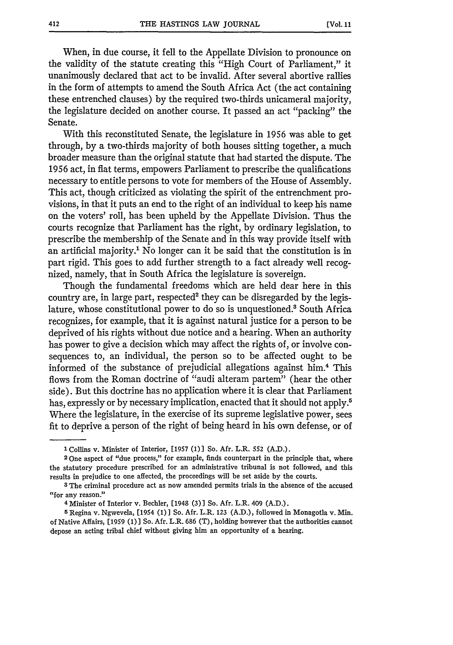When, in due course, it fell to the Appellate Division to pronounce on the validity of the statute creating this "High Court of Parliament," it unanimously declared that act to be invalid. After several abortive rallies in the form of attempts to amend the South Africa Act (the act containing these entrenched clauses) by the required two-thirds unicameral majority, the legislature decided on another course. It passed an act "packing" the Senate.

With this reconstituted Senate, the legislature in 1956 was able to get through, by a two-thirds majority of both houses sitting together, a much broader measure than the original statute that had started the dispute. The 1956 act, in fiat terms, empowers Parliament to prescribe the qualifications necessary to entitle persons to vote for members of the House of Assembly. This act, though criticized as violating the spirit of the entrenchment provisions, in that it puts an end to the right of an individual to keep his name on the voters' roll, has been upheld by the Appellate Division. Thus the courts recognize that Parliament has the right, by ordinary legislation, to prescribe the membership of the Senate and in this way provide itself with an artificial majority.' No longer can it be said that the constitution is in part rigid. This goes to add further strength to a fact already well recognized, namely, that in South Africa the legislature is sovereign.

Though the fundamental freedoms which are held dear here in this country are, in large part, respected<sup>2</sup> they can be disregarded by the legislature, whose constitutional power to do so is unquestioned.<sup>3</sup> South Africa recognizes, for example, that it is against natural justice for a person to be deprived of his rights without due notice and a hearing. When an authority has power to give a decision which may affect the rights of, or involve consequences to, an individual, the person so to be affected ought to be informed of the substance of prejudicial allegations against him.4 This flows from the Roman doctrine of "audi alteram partem" (hear the other side). But this doctrine has no application where it is clear that Parliament has, expressly or by necessary implication, enacted that it should not apply.<sup>5</sup> Where the legislature, in the exercise of its supreme legislative power, sees fit to deprive a person of the right of being heard in his own defense, or of

**I** Collins v. Minister of Interior, **[1957 (1)]** So. Afr. L.R. **552 (A D.).**

**<sup>2</sup>** One aspect of "due process," for example, finds counterpart in the principle that, where the statutory procedure prescribed for an administrative tribunal is not followed, and this results in prejudice to one affected, the proceedings will be set aside **by** the courts.

**<sup>3</sup>** The criminal procedure act as now amended permits trials in the absence of the accused "for any reason."

<sup>4</sup> Minister of Interior v. Bechler, [1948 **(3)]** So. **Afr.** L.R. 409 **(A.D.).**

**<sup>5</sup>** Regina v. Ngwevela, [1954 **(1)]** So. Afr. L.R. **123 (A.D.),** followed in Monagotla v. Min. of Native Affairs, **[1959 (1)]** So. Afr. L.R. **686** (T), holding however that the authorities cannot depose an acting tribal chief without giving him an opportunity of a hearing.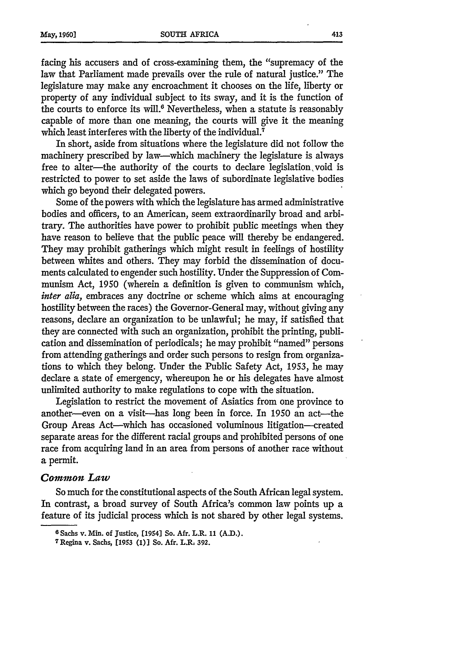facing his accusers and of cross-examining them, the "supremacy of the law that Parliament made prevails over the rule of natural justice." The legislature may make any encroachment it chooses on the life, liberty or property of any individual subject to its sway, and it is the function of the courts to enforce its will. $6$  Nevertheless, when a statute is reasonably capable of more than one meaning, the courts will give it the meaning which least interferes with the liberty of the individual.<sup>7</sup>

In short, aside from situations where the legislature did not follow the machinery prescribed by law—which machinery the legislature is always free to alter-the authority of the courts to declare legislation, void is restricted to power to set aside the laws of subordinate legislative bodies which go beyond their delegated powers.

Some of the powers with which the legislature has armed administrative bodies and officers, to an American, seem extraordinarily broad and arbitrary. The authorities have power to prohibit public meetings when they have reason to believe that the public peace will thereby be endangered. They may prohibit gatherings which might result in feelings of hostility between whites and others. They may forbid the dissemination of documents calculated to engender such hostility. Under the Suppression of Communism Act, 1950 (wherein a definition is given to communism which, *inter alia,* embraces any doctrine or scheme which aims at encouraging hostility between the races) the Governor-General may, without giving any reasons, declare an organization to be unlawful; he may, if satisfied that they are connected with such an organization, prohibit the printing, publication and dissemination of periodicals; he may prohibit "named" persons from attending gatherings and order such persons to resign from organizations to which they belong. Under the Public Safety Act, 1953, he may declare a state of emergency, whereupon he or his delegates have almost unlimited authority to make regulations to cope with the situation.

Legislation to restrict the movement of Asiatics from one province to another—even on a visit—has long been in force. In 1950 an act—the Group Areas Act-which has occasioned voluminous litigation--created separate areas for the different racial groups and prohibited persons of one race from acquiring land in an area from persons of another race without a permit.

#### *Comion Law*

So much for the constitutional aspects of the South African legal system. In contrast, a broad survey of South Africa's common law points up a feature of its judicial process which is not shared by other legal systems.

**<sup>6</sup>**Sachs v. Min. **of** Justice, [1954] So. Afr. L.R. **11 (AMD.). <sup>7</sup> Regina v. Sachs, [1953 (1)] So. Afr. L.R, 392.**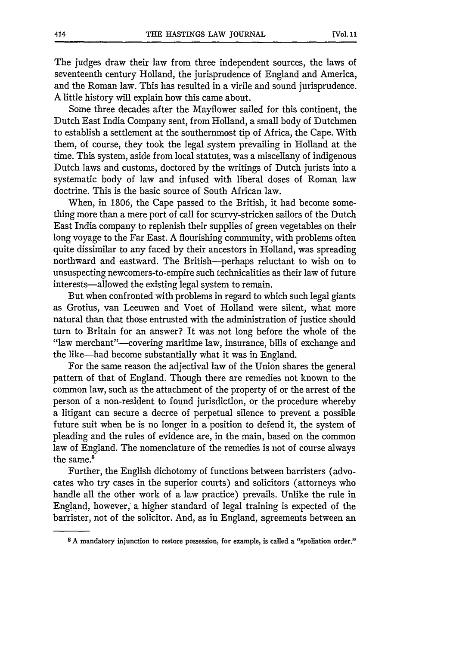The judges draw their law from three independent sources, the laws of seventeenth century Holland, the jurisprudence of England and America, and the Roman law. This has resulted in a virile and sound jurisprudence. A little history will explain how this came about.

Some three decades after the Mayflower sailed for this continent, the Dutch East India Company sent, from Holland, a small body of Dutchmen to establish a settlement at the southernmost tip of Africa, the Cape. With them, of course, they took the legal system prevailing in Holland at the time. This system, aside from local statutes, was a miscellany of indigenous Dutch laws and customs, doctored by the writings of Dutch jurists into a systematic body of law and infused with liberal doses of Roman law doctrine. This is the basic source of South African law.

When, in 1806, the Cape passed to the British, it had become something more than a mere port of call for scurvy-stricken sailors of the Dutch East India company to replenish their supplies of green vegetables on their long voyage to the Far East. A flourishing community, with problems often quite dissimilar to any faced by their ancestors in Holland, was spreading northward and eastward. The British-perhaps reluctant to wish on to unsuspecting newcomers-to-empire such technicalities as their law of future interests—allowed the existing legal system to remain.

But when confronted with problems in regard to which such legal giants as Grotius, van Leeuwen and Voet of Holland were silent, what more natural than that those entrusted with the administration of justice should turn to Britain for an answer? It was not long before the whole of the "law merchant"-covering maritime law, insurance, bills of exchange and the like-had become substantially what it was in England.

For the same reason the adjectival law of the Union shares the general pattern of that of England. Though there are remedies not known to the common law, such as the attachment of the property of or the arrest of the person of a non-resident to found jurisdiction, or the procedure whereby a litigant can secure a decree of perpetual silence to prevent a possible future suit when he is no longer in a position to defend it, the system of pleading and the rules of evidence are, in the main, based on the common law of England. The nomenclature of the remedies is not of course always the same.<sup>8</sup>

Further, the English dichotomy of functions between barristers (advocates who try cases in the superior courts) and solicitors (attorneys who handle all the other work of a law practice) prevails. Unlike the rule in England, however, a higher standard of legal training is expected of the barrister, not **of** the solicitor. And, as in England, agreements between an

**<sup>8</sup>** A mandatory injunction to restore possession, **for** example, is called a "spoliation order."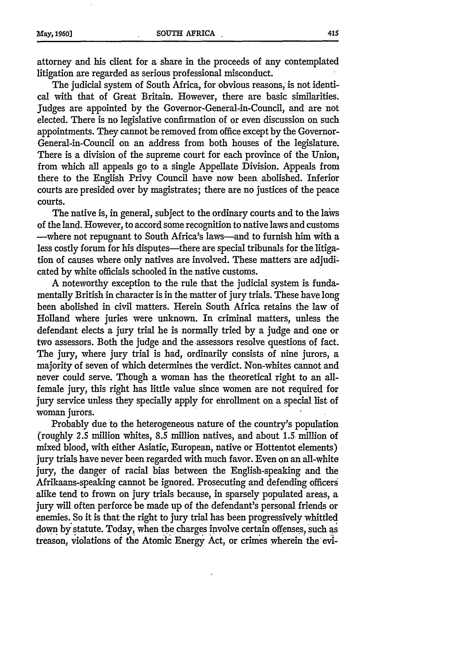attorney and his client for a share in the proceeds of any contemplated litigation are regarded as serious professional misconduct.

The judicial system of South Africa, for obvious reasons, is not identical with that of Great Britain. However, there are basic similarities. Judges are appointed by the Governor-General-in-Council, and are not elected. There is no legislative confirmation of or even discussion on such appointments. They cannot be removed from office except by the Governor-General-in-Council on an address from both houses of the legislature. There is a division of the supreme court for each province of the Union, from which all appeals go to a single Appellate Division. Appeals from there to the English Privy Council have now been abolished. Inferior courts are presided over by magistrates; there are no justices of the peace courts.

The native is, in general, subject to the ordinary courts and to the laws of the land. However, to accord some recognition to native laws and customs -where not repugnant to South Africa's laws-and to furnish him with a less costly forum for his disputes—there are special tribunals for the litigation of causes where only natives are involved. These matters are adjudi: cated by white officials schooled in the native customs.

A noteworthy exception to the rule that the judicial system is fundamentally British in character is in the matter of jury trials. These have long been abolished in civil matters. Herein South Africa retains the law of Holland where juries were unknown. In criminal matters, unless the defendant elects a jury trial he is normally tried by a judge and one or two assessors. Both the judge and the assessors resolve questions of fact. The jury, where jury trial is had, ordinarily consists of nine jurors, a majority of seven of which determines the verdict. Non-whites cannot and never could serve. Though a woman has the theoretical right to an allfemale jury, this right has little value since women are not required for jury service unless they specially apply for enrollment on a special list of woman jurors.

Probably due to the heterogeneous nature of the country's population (roughly 2.5 million whites, 8.5 million natives, and about *1.5* million of mixed blood, with either Asiatic, European, native or Hottentot elements) jury trials have never been regarded with much favor. Even on an all-white jury, the danger of racial bias between the English-speaking and the Afrikaans-speaking cannot be ignored. Prosecuting and defending officers alike tend to frown on jury trials because, in sparsely populated areas, a jury will often perforce be made up of the defendant's personal friends or enemies. So it is that the right to jury trial has been progressively whittled down by statute. Today, when the charges involve certain offenses, such as treason, violations of the Atomic Energy Act, or crimes wherein the evi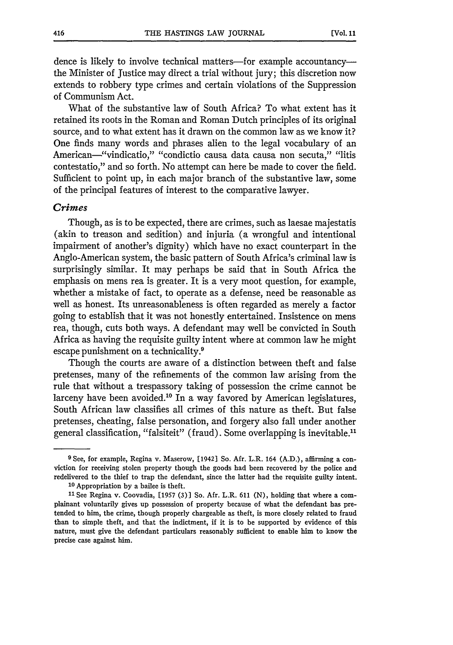dence is likely to involve technical matters-for example accountancythe Minister of Justice may direct a trial without jury; this discretion now extends to robbery type crimes and certain violations of the Suppression of Communism Act.

What of the substantive law of South Africa? To what extent has it retained its roots in the Roman and Roman Dutch principles of its original source, and to what extent has it drawn on the common law as we know it? One finds many words and phrases alien to the legal vocabulary of an American—"vindicatio," "condictio causa data causa non secuta," "litis contestatio," and so forth. No attempt can here be made to cover the field. Sufficient to point up, in each major branch of the substantive law, some of the principal features of interest to the comparative lawyer.

#### Crimes

Though, as is to be expected, there are crimes, such as laesae majestatis (akin to treason and sedition) and injuria (a wrongful and intentional impairment of another's dignity) which have no exact counterpart in the Anglo-American system, the basic pattern of South Africa's criminal law is surprisingly similar. It may perhaps be said that in South Africa the emphasis on mens rea is greater. It is a very moot question, for example, whether a mistake of fact, to operate as a defense, need be reasonable as well as honest. Its unreasonableness is often regarded as merely a factor going to establish that it was not honestly entertained. Insistence on mens rea, though, cuts both ways. A defendant may well be convicted in South Africa as having the requisite guilty intent where at common law he might escape punishment on a technicality.<sup>9</sup>

Though the courts are aware of a distinction between theft and false pretenses, many of the refinements of the common law arising from the rule that without a trespassory taking of possession the crime cannot be larceny have been avoided.<sup>10</sup> In a way favored by American legislatures, South African law classifies all crimes of this nature as theft. But false pretenses, cheating, false personation, and forgery also fall under another general classification, "falsiteit" (fraud). Some overlapping is inevitable."

**<sup>9</sup>** See, **for** example, Regina v. Maserow, [1942] **So.** Afr. L.R. 164 **(A.D.),** affirming a con**viction for** receiving stolen property though the **goods** had been recovered **by** the police and redelivered **to** the thief **to** trap the defendant, since **the** latter **had** the requisite guilty intent. **10** Appropriation **by** a bailee is theft.

**<sup>11</sup>** See Regina v. Coovadia, [1957 (3)] **So.** Afr. L.R. **611 (N),** holding that where a complainant voluntarily gives **up** possession **of** property because **of** what the defendant has pretended **to** him, the crime, though properly chargeable as theft, is **more** closely related **to fraud** than **to** simple theft, and that the indictment, if it is **to** be supported **by** evidence **of** this nature, must give the defendant particulars reasonably sufficient **to** enable him **to** know the **precise** case **against him.**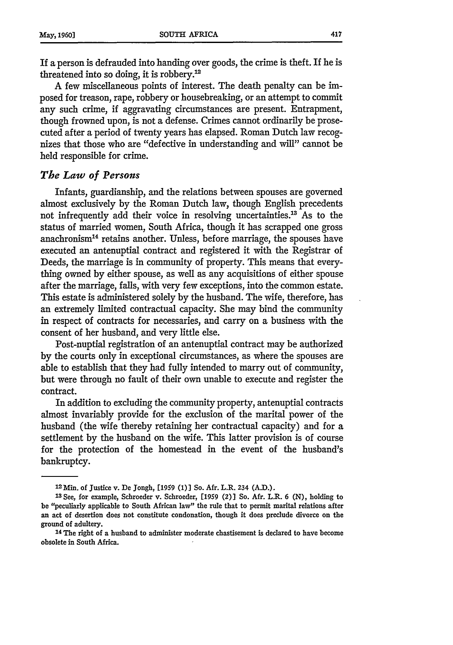If a person is defrauded into handing over goods, the crime is theft. If he is threatened into so doing, it is robbery.'

A few miscellaneous points of interest. The death penalty can be imposed for treason, rape, robbery or housebreaking, or an attempt to commit any such crime, if aggravating circumstances are present. Entrapment, though frowned upon, is not a defense. Crimes cannot ordinarily be prosecuted after a period of twenty years has elapsed. Roman Dutch law recognizes that those who are "defective in understanding and will" cannot be held responsible for crime.

#### *The Law of Persons*

Infants, guardianship, and the relations between spouses are governed almost exclusively by the Roman Dutch law, though English precedents not infrequently add their voice in resolving uncertainties.<sup>13</sup> As to the status of married women, South Africa, though it has scrapped one gross anachronism<sup>14</sup> retains another. Unless, before marriage, the spouses have executed an antenuptial contract and registered it with the Registrar of Deeds, the marriage is in community of property. This means that everything owned by either spouse, as well as any acquisitions of either spouse after the marriage, falls, with very few exceptions, into the common estate. This estate is administered solely by the husband. The wife, therefore, has an extremely limited contractual capacity. She may bind the community in respect of contracts for necessaries, and carry on a business with the consent of her husband, and very little else.

Post-nuptial registration of an antenuptial contract may be authorized by the courts only in exceptional circumstances, as where the spouses are able to establish that they had fully intended to marry out of community, but were through no fault of their own unable to execute and register the contract.

In addition to excluding the community property, antenuptial contracts almost invariably provide for the exclusion of the marital power of the husband (the wife thereby retaining her contractual capacity) and for a settlement by the husband on the wife. This latter provision is of course for the protection of the homestead in the event of the husband's bankruptcy.

**<sup>14</sup>**The right of a husband to administer moderate chastisement is declared to have become obsolete in South Africa.

<sup>12</sup> Min. of Justice v. De Jongh, **[1959** (1)] So. Afr. L.R. 234 **(A.D.).**

**<sup>13</sup>**See, for example, Schroeder v. Schroeder, [1959 (2)] So. Afr. L.R. 6 **(N),** holding to be "peculiarly applicable to South African law" the rule that to permit marital relations after an act of desertion does not constitute condonation, though it does preclude divorce on the ground of adultery.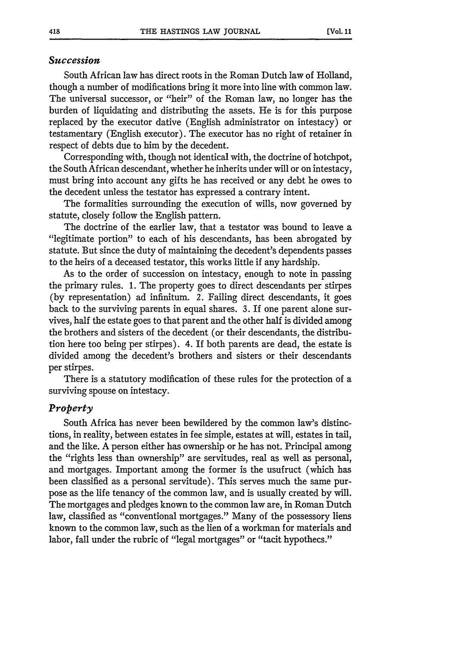#### *Succession*

South African law has direct roots in the Roman Dutch law of Holland, though a number of modifications bring it more into line with common law. The universal successor, or "heir" of the Roman law, no longer has the burden of liquidating and distributing the assets. He is for this purpose replaced by the executor dative (English administrator on intestacy) or testamentary (English executor). The executor has no right of retainer in respect of debts due to him by the decedent.

Corresponding with, though not identical with, the doctrine of hotchpot, the South African descendant, whether he inherits under will or on intestacy, must bring into account any gifts he has received or any debt he owes to the decedent unless the testator has expressed a contrary intent.

The formalities surrounding the execution of wills, now governed by statute, closely follow the English pattern.

The doctrine of the earlier law, that a testator was bound to leave a "legitimate portion" to each of his descendants, has been abrogated by statute. But since the duty of maintaining the decedent's dependents passes to the heirs of a deceased testator, this works little if any hardship.

As to the order of succession on intestacy, enough to note in passing the primary rules. 1. The property goes to direct descendants per stirpes (by representation) ad infinitum. 2. Failing direct descendants, it goes back to the surviving parents in equal shares. 3. If one parent alone survives, half the estate goes to that parent and the other half is divided among the brothers and sisters of the decedent (or their descendants, the distribution here too being per stirpes). 4. If both parents are dead, the estate is divided among the decedent's brothers and sisters or their descendants per stirpes.

There is a statutory modification of these rules for the protection of a surviving spouse on intestacy.

#### *Property*

South Africa has never been bewildered by the common law's distinctions, in reality, between estates in fee simple, estates at will, estates in tail, and the like. A person either has ownership or he has not. Principal among the "rights less than ownership" are servitudes, real as well as personal, and mortgages. Important among the former is the usufruct (which has been classified as a personal servitude). This serves much the same purpose as the life tenancy of the common law, and is usually created by will. The mortgages and pledges known to the common law are, in Roman Dutch law, classified as "conventional mortgages." Many of the possessory liens known to the common law, such as the lien of a workman for materials and labor, fall under the rubric of "legal mortgages" or "tacit hypothecs."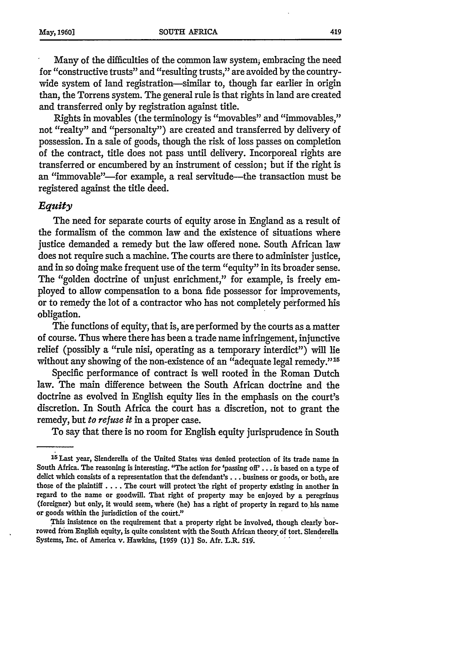Many of the difficulties of the common law system, embracing the need for "constructive trusts" and "resulting trusts," are avoided by the countrywide system of land registration-similar to, though far earlier in origin than, the Torrens system. The general rule is that rights in land are created and transferred only by registration against title.

Rights in movables (the terminology is "movables" and "immovables," not "realty" and "personalty") are created and transferred by delivery of possession. In a sale of goods, though the risk of loss passes on completion of the contract, title does not pass until delivery. Incorporeal rights are transferred or encumbered by an instrument of cession; but if the right is an "immovable"---for example, a real servitude----the transaction must be registered against the title deed.

#### *Equity*

The need for separate courts of equity arose in England as a result of the formalism of the common law and the existence of situations where justice demanded a remedy but the law offered none. South African law does not require such a machine. The courts are there to administer justice, and in so doing make frequent use of the term "equity" in its broader sense. The "golden doctrine of unjust enrichment," for example, is freely employed to allow compensation to a bona fide possessor for improvements, or to remedy the lot of a contractor who has not completely performed his obligation.

The functions of equity, that is, are performed by the courts as a matter of course. Thus where there has been a trade name infringement, injunctive relief (possibly a "rule nisi, operating as a temporary interdict") will lie without any showing of the non-existence of an "adequate legal remedy."<sup>15</sup>

Specific performance of contract is well rooted in the Roman Dutch law. The main difference between the South African doctrine and the doctrine as evolved in English equity lies in the emphasis on the court's discretion. In South Africa the court has a discretion, not to grant the remedy, but *to* refuse *it* in a proper case.

To say that there is no room for English equity jurisprudence in South

This insistence on the requirement that a property right be involved, though clearly borrowed from English equity, is quite consistent with the South African theory **6f** tort. Slenderella Systems, Inc. of America v. Hawkins, **(1959 (1)]** So. Afr. L.R. 519.

<sup>.&</sup>lt;br><sup>16</sup> Last year, Slenderella of the United States was denied protection of its trade name in South Africa. The reasoning is interesting. "The action for 'passing off' ... is based on a type of delict which consists of a representation that the defendant's... business or goods, or both, are those of the plaintiff .... The court will protect the right of property existing in another in regard to the name or goodwill. That right of property may be enjoyed **by** a peregrinus (foreigper) but only, it would seem, where (he) has a right of property in regard to his name or goods within the jurisdiction of the court."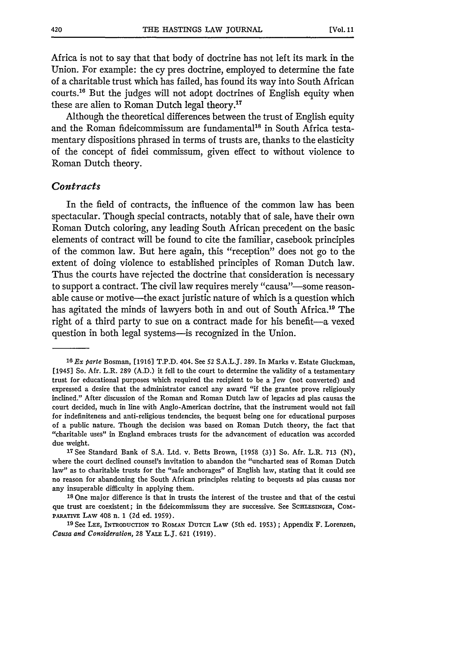Africa is not to say that that body of doctrine has not left its mark in the Union. For example: the cy pres doctrine, employed to determine the fate of a charitable trust which has failed, has found its way into South African courts.<sup>16</sup> But the judges will not adopt doctrines of English equity when these are alien to Roman Dutch legal theory."

Although the theoretical differences between the trust of English equity and the Roman fideicommissum are fundamental<sup>18</sup> in South Africa testamentary dispositions phrased in terms of trusts are, thanks to the elasticity of the concept of fidei commissum, given effect to without violence to Roman Dutch theory.

#### *Contracts*

In the field of contracts, the influence of the common law has been spectacular. Though special contracts, notably that of sale, have their own Roman Dutch coloring, any leading South African precedent on the basic elements of contract will be found to cite the familiar, casebook principles of the common law. But here again, this "reception" does not go to the extent of doing violence to established principles of Roman Dutch law. Thus the courts have rejected the doctrine that consideration is necessary to support a contract. The civil law requires merely "causa"—some reasonable cause or motive-the exact juristic nature of which is a question which has agitated the minds of lawyers both in and out of South Africa.<sup>19</sup> The right of a third party to sue on a contract made for his benefit-a vexed question in both legal systems--is recognized in the Union.

**<sup>1</sup> 6** *Ex* parte Bosman, [1916] T.P.D. 404. See 52 S.A.L.J. 289. In Marks v. Estate Gluckman, [1945] So. Afr. L.R. 289 (A.D.) it fell to the court to determine the validity of a testamentary trust for educational purposes which required the recipient to be a Jew (not converted) and expressed a desire that the administrator cancel any award "if the grantee prove religiously inclined." After discussion of the Roman and Roman Dutch law of legacies ad pias causas the court decided, much in line with Anglo-American doctrine, that the instrument would not fail for indefiniteness and anti-religious tendencies, the bequest being one for educational purposes of a public nature. Though the decision was based on Roman Dutch theory, the fact that "charitable uses" in England embraces trusts for the advancement of education was accorded due weight.

**<sup>37</sup>**See Standard Bank of S.A. Ltd. v. Betts Brown, [1958 (3)] So. Afr. L.R. **713** (N), where the court declined counsel's invitation to abandon the "uncharted seas of Roman Dutch law" as to charitable trusts for the "safe anchorages" of English law, stating that it could see no reason for abandoning the South African principles relating to bequests ad pias causas nor any insuperable difficulty in applying them.

**<sup>18</sup>**One major difference is that in trusts the interest of the trustee and that of the cestui que trust are coexistent; in the fideicommissum they are successive. See **SCHLESINGER,** COM-PARATiVE LAW 408 n. 1 (2d ed. 1959).

**<sup>19</sup>**See **LEE,** INTRODUCTION To **RoMAN DUTCH LAW** (5th ed. **1953);** Appendix F. Lorenzen, *Causa and Consideration,* 28 YALE L.J. **621 (1919).**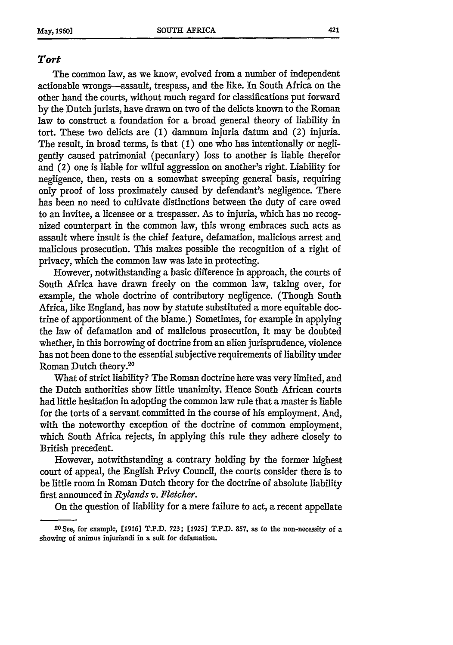#### *Tort*

The common law, as we know, evolved from a number of independent actionable wrongs-assault, trespass, and the like. In South Africa on the other hand the courts, without much regard for classifications put forward by the Dutch jurists, have drawn on two of the delicts known to the Roman law to construct a foundation for a broad general theory of liability in tort. These two delicts are **(1)** damnum injuria datum and (2) injuria. The result, in broad terms, is that **(1)** one who has intentionally or negligently caused patrimonial (pecuniary) loss to another is liable therefor and (2) one is liable for wilful aggression on another's right. Liability for negligence, then, rests on a somewhat sweeping general basis, requiring only proof of loss proximately caused **by** defendant's negligence. There has been no need to cultivate distinctions between the duty of care owed to an invitee, a licensee or a trespasser. As to injuria, which has no recognized counterpart in the common law, this wrong embraces such acts as assault where insult is the chief feature, defamation, malicious arrest and malicious prosecution. This makes possible the recognition of a right of privacy, which the common law was late in protecting.

However, notwithstanding a basic difference in approach, the courts of South Africa have drawn freely on the common law, taking over, for example, the whole doctrine of contributory negligence. (Though South Africa, like England, has now by statute substituted a more equitable doctrine of apportionment of the blame.) Sometimes, for example in applying the law of defamation and of malicious prosecution, it may be doubted whether, in this borrowing of doctrine from an alien jurisprudence, violence has not been done to the essential subjective requirements of liability under Roman Dutch theory.<sup>20</sup>

What of strict liability? The Roman doctrine here was very limited, and the Dutch authorities show little unanimity. Hence South African courts had little hesitation in adopting the common law rule that a master is liable for the torts of a servant committed in the course of his employment. And, with the noteworthy exception of the doctrine of common employment, which South Africa rejects, in applying this rule they adhere closely to British precedent.

However, notwithstanding a contrary holding by the former highest court of appeal, the English Privy Council, the courts consider there is to be little room in Roman Dutch theory for the doctrine of absolute liability first announced in *Rylands v. Fletcher.*

On the question of liability for a mere failure to act, a recent appellate

<sup>2</sup> 0 See, for example, **[1916] T.P.D. 723; [1925] T.P.D. 857,** as to the non-necessity of a showing of animus injuriandi in a suit for defamation.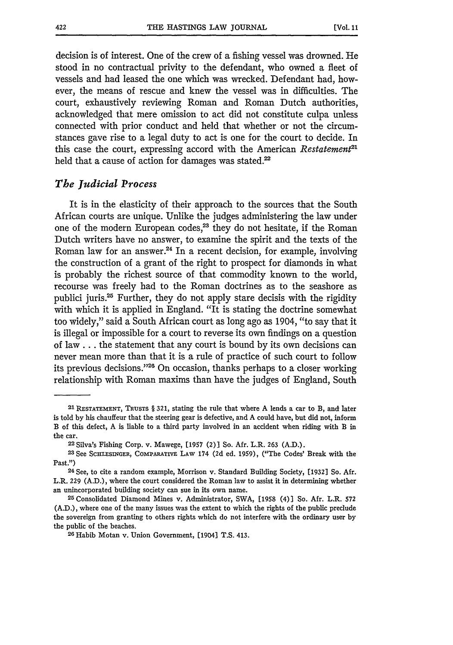decision is of interest. One of the crew of a fishing vessel was drowned. He stood in no contractual privity to the defendant, who owned a fleet of vessels and had leased the one which was wrecked. Defendant had, however, the means of rescue and knew the vessel was in difficulties. The court, exhaustively reviewing Roman and Roman Dutch authorities, acknowledged that mere omission to act did not constitute culpa unless connected with prior conduct and held that whether or not the circumstances gave rise to a legal duty to act is one for the court to decide. In this case the court, expressing accord with the American *Restatement*<sup>21</sup> held that a cause of action for damages was stated.<sup>22</sup>

#### *The Judicial Process*

It is in the elasticity of their approach to the sources that the South African courts are unique. Unlike the judges administering the law under one of the modern European codes,<sup>23</sup> they do not hesitate, if the Roman Dutch writers have no answer, to examine the spirit and the texts of the Roman law for an answer.<sup>24</sup> In a recent decision, for example, involving the construction of a grant of the right to prospect for diamonds in what is probably the richest source of that commodity known to the world, recourse was freely had to the Roman doctrines as to the seashore as publici juris.<sup>25</sup> Further, they do not apply stare decisis with the rigidity with which it is applied in England. "It is stating the doctrine somewhat too widely," said a South African court as long ago as 1904, "to say that it is illegal or impossible for a court to reverse its own findings on a question of law **...** the statement that any court is bound by its own decisions can never mean more than that it is a rule of practice of such court to follow its previous decisions."<sup>26</sup> On occasion, thanks perhaps to a closer working relationship with Roman maxims than have the judges of England, South

<sup>21</sup> RESTATEMENT, TRUSTS § 321, stating the rule that where A lends a car to B, and later is told by his chauffeur that the steering gear is defective, and A could have, but did not, inform B of this defect, A is liable to a third party involved in an accident when riding with B in the car.

<sup>22</sup> Silva's Fishing Corp. v. Mawege, [1957 (2)] So. Afr. L.R. 263 (A.D.).

**<sup>23</sup>**See SCHLESINGER, **COMPARATIVE** LAW 174 (2d ed. 1959), ("The Codes' Break with the Past.")

**<sup>24</sup>** See, to cite a random example, Morrison v. Standard Building Society, [19321 So. Afr. L.R. **229 (A.D.),** where the court considered the Roman law to assist it in determining whether an unincorporated building society can sue in its own name.

**<sup>25</sup>** Consolidated Diamond Mines v. Administrator, SWA, [1958 (4)] So. Afr. L.R. **572** (A.D.), where one of the many issues was the extent to which the rights of the public preclude the sovereign from granting to others rights which do not interfere with the ordinary user by the public of the beaches. **<sup>26</sup>** Habib Motan v. Union Government, [1904] T.S. 413.